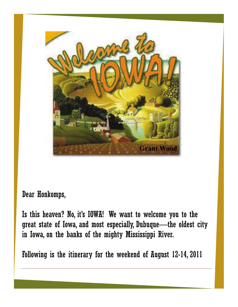

Dear Honkomps,

Is this heaven? No, it's IOWA! We want to welcome you to the great state of Iowa, and most especially, Dubuque—the oldest city in Iowa, on the banks of the mighty Mississippi River.

Following is the itinerary for the weekend of August 12-14, 2011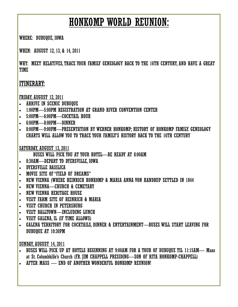## HONKOMP WORLD REUNION:

WHERE: DUBUQUE, IOWA

WHEN: AUGUST 12, 13, & 14, 2011

WHY: MEET RELATIVES, TRACE YOUR FAMILY GENEOLOGY BACK TO THE 16TH CENTURY, AND HAVE A GREAT TIME

### ITINERARY:

FRIDAY, AUGUST 12, 2011

- ARRIVE IN SCENIC DUBUQUE
- 1:00PM—5:00PM REGISTRATION AT GRAND RIVER CONVENTION CENTER
- 5:00PM—6:00PM—COCKTAIL HOUR
- 6:00PM—8:00PM—DINNER
- 8:00PM—9:00PM—PRESENTATION BY WERNER HONKOMP; HISTORY OF HONKOMP FAMILY. GENEOLOGY CHARTS WILL ALLOW YOU TO TRACE YOUR FAMILY'S HISTORY BACK TO THE 16TH CENTURY

SATURDAY, AUGUST 13, 2011

BUSES WILL PICK YOU AT YOUR HOTEL—BE READY AT 8:00AM

- 8:30AM—DEPART TO DYERSVILLE, IOWA
- DYERSVILLE BASILICA
- MOVIE SITE OF "FIELD OF DREAMS"
- NEW VIENNA (WHERE HEINRICH HONKOMP & MARIA ANNA VON HANDRUP SETTLED IN 1844
- NEW VIENNA—CHURCH & CEMETARY
- NEW VIENNA HERITAGE HOUSE
- VISIT FARM SITE OF HEINRICH & MARIA
- VISIT CHURCH IN PETERSBURG
- VISIT BALLTOWN—INCLUDING LUNCH
- VISIT GALENA, IL (IF TIME ALLOWS)
- GALENA TERRITORY FOR COCKTAILS, DINNER & ENTERTAINMENT—BUSES WILL START LEAVING FOR DUBUQUE AT 10:30PM

SUNDAY, AUGUST 14, 2011

- BUSES WILL PICK UP AT HOTELS BEGINNING AT 9:00AM FOR A TOUR OF DUBUQUE TIL 11:15AM— Mass at St. Columbkille's Church (FR. JIM CHAPPELL PRESIDING—SON OF RITA HONKOMP-CHAPPELL)
- AFTER MASS END OF ANOTHER WONDERFUL HONKOMP REUNION!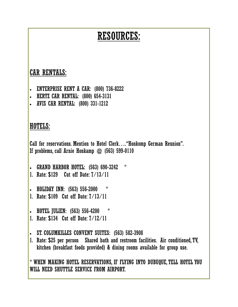# RESOURCES:

## CAR RENTALS:

- ENTERPRISE RENT A CAR: (800) 736-8222
- HERTZ CAR RENTAL: (800) 654-3131
- AVIS CAR RENTAL: (800) 331-1212

### HOTELS:

Call for reservations. Mention to Hotel Clerk…. "Honkomp German Reunion". If problems, call Arnie Honkamp @ (563) 599-0110

- GRAND HARBOR HOTEL: (563) 690-3242 \*
- 1. Rate: \$129 Cut off Date: 7/13/11
- HOLIDAY INN: (563) 556-2000
- 1. Rate: \$109 Cut off Date: 7/13/11
- HOTEL JULIEN: (563) 556-4200 \*
- 1. Rate: \$134 Cut off Date: 7/12/11
- ST. COLUMKILLES CONVENT SUITES: (563) 582-3908
- 1. Rate: \$25 per person Shared bath and restroom facilities. Air conditioned, TV, kitchen (breakfast foods provided) & dining rooms available for group use.

\* WHEN MAKING HOTEL RESERVATIONS, IF FLYING INTO DUBUQUE, TELL HOTEL YOU WILL NEED SHUTTLE SERVICE FROM AIRPORT.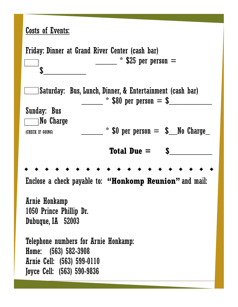## Costs of Events:

Friday: Dinner at Grand River Center (cash bar)  $*$  \$25 per person  $=$  $\frac{1}{2}$ Saturday: Bus, Lunch, Dinner, & Entertainment (cash bar)  $*$  \$80 per person  $=$  \$ Sunday: Bus  $\Box$ No Charge (CHECK IF GOING) \_\_\_\_\_ \* \$0 per person = \$\_\_No Charge\_ **Total Due =**  $\qquad \qquad$  **\$** Enclose a check payable to: **"Honkomp Reunion"** and mail: Arnie Honkamp 1050 Prince Phillip Dr. Dubuque, IA 52003 Telephone numbers for Arnie Honkamp: Home: (563) 582-3908 Arnie Cell: (563) 599-0110 Joyce Cell: (563) 590-9836